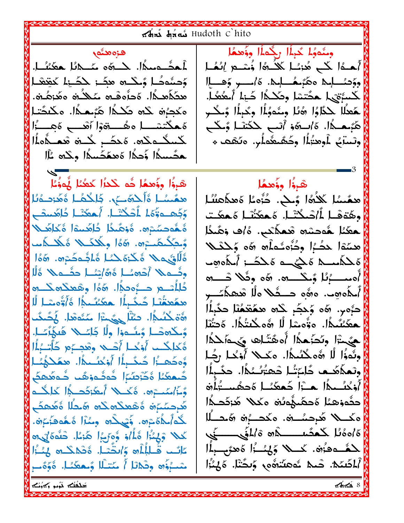Francis Hudoth c'hito - وَمُدَوَّلًا كَبِيلًا رَبُّكُماً ا وَوَّهَكُم فزه هنگم أهدُ وسِدًا. كَنْ مَنْ الْمَعْنُا. أَهْدًا كُلِّ هُزْسًا كُلُّدُهُ! ذُبَّبَ إِنْهُمَا وَحِسُّوحُا وُلِكُ مِحْدٍ حَكَـٰٓ ۚ كَمَنْهَا لَا ووُحسُلِهِ مِحَبَّمَــالِهِ. هَامِـــو وَهـــالِ هكَلُّهكُمْا. ەُجزُەقىھ مُكْلُغ ەهُزېمُىغ. كَسْتَوْبِهِ حَدَّسْا وصَحْدًا حَـٰذِا أَحْفَظ. أَ هَجْلًا ۖ كَذَاوُا ۖ هُنَا ۖ وِمُحَوَدًٰا ۖ وَحَدِمًٰا ۖ وَمَكْبِ ەكجۇف كە كككا ھۇجمگا. ەڭىئتا هَ هَنْتَسْدَ وَهُ حَقَّوْا أَهْدَ وَهِ أَنْ هَبُعِمَالَ وَإِسْوَٰهِ أَنْبِ كَكُنْسًا وُحَكّ كَسْكُــهِكْلُهِ. هُـحَـَــمِ كُــةِ مْعَــِمُهِ أَ وِنْسَابُ ۖ أُوهِنُٰٓ أُلَّا ۖ وِحَٰهُنَّهُمْ ۖ وَلَّٰ وَلَّٰهُمْ ۚ وَ هَكَسِيرًا وَحِدًا هَعِمَّحَسِيًّا وِكْلَّهِ عَلَّا هُ فَأَوْلًا وَذَهَبُهُمْ هُو كَذَا يَحَدُّلُ هَدُّمًا لَهُوَذُمُّا الْمَسَوَّمُ خْرِذُا وِذْهَهُا ھىسُا ۋَاَكْتَمَــَى. جَاڭْھُـا ۋَھَرْصَوْنَا همَّسُا لَلاُهُا وُحِبٍ. دُّوْمَا هُمكُم*شَ*ّا وَجَمِدوَوَّهُا أَحْكُثْـا. أَحْكَثْـا دُاهُسْتَـع وهَقْ قْلِ لِمُرْكَتْهِا. هُ هَعَنْتُهِ هُ هَعَيْت ەْھەمسۇرە. ەْزْھَىدا داھْسەا ەْكاھْلا هعَنْا هُوجسْه شَعِكْتُبِ. وُافْ وَهَيْدًا وَحِكْمَمْتِرْهِ. هَءُا وِلَكَمْ لَا هُلَكُمْت همَّدْا حَدُرًا وِدُّوَدُهِ أَه وَهُ وَحَكْمًا ةَلَّاقُ مِلا مُكْرَمَكْ أَمْلَأَ مَكْرَمَنَ الْمَمْ ەللەسلا ەلگىدە ەلمكە: أىلەھ وثُــه\ أَتْـهمُــا ةَهَّاسُـا حَثُــه\ ةُلُا أەمىسۇئا ۇمكىسە. %ە وفُلا تْسْسە دُلِلُّسُم حَدَّوَمَهُّا. 20\$ وَعْمَدُهُكُلُّهُ أَحدُه وهِ وهُو صَــقُلا هالَّا هُـمحَدَّــَـــر هِمَعِنْهُا حُكْرِلُهِ هِعَيْنُهِمُ الْأَزْوِينَا لَل حَبَّهب ، هُه وَحجَّر لَحْم همَقمُنْا حدَّىلًا رْهُة كُنُبْمُ!. حَتْلَا حِيَّى الْأَسْمَاءُ لِلْمَحْدَثَةَ ِ هِجَيْئُيجُا. وَوُّوسْا لُل رُوْهِ كُنتُجُا. وَدِيْنَا وً كَلاهِ كَـلَّــهِ وَلَا جَاسَـــه هَٰـهَٰنَـَــًا. المُكانَصِينَ بِمَاتَّقَاهُ الْمُعْبَدِ ابْنَبِرْهِ ةَكَلِكُتَ أَوْجُلَ أَصْلاً وقَدِعَ لَا كَأَسْبُلُّا وِثَهِوَٰا لَا هُمكْنُمُا. مكــلا أَوْحُـا رَضًا وُوحُهـأَ أَحْكَـرِهُ أَوْحُسُــدُا. مَعَـٰـدُهُــا وتَعَكَّمَتُ دَاجَتُنَا دَهَّرُنُتُكُمَّا. حَدَّبُلُّا ضُعْطَمُا ةَخْزَصُمَ احْدَثُورْهُبْ خُدْمُهِمُ أَوْكُسُــداً هـــْزَا كَـعكَسُــا هَـحصُــــــُّزَاَنَه وَّذَاسَّىدوه. هُكَـــلا أَحكَرْكُـدَجُل كَلِكُــم حثَم;همُا هَحصُمُونُه مكلا هُزكَحـدًا مُرِحِسُرُة ةَعْعَدُهِ كُلُّهِ هَٰـَـٰلًا ةَمَٰـٰهَـٰ ەكمىلا ئېرجىئىسە. ەكجىر ئە ئەمجىلل لَكُه أَبِكُمُ شَرْهٍ. وَيَهَلُوهِ وَسُأَلَ ذَهَقُوهَ مَرْمَ وَمَ كَاهِدُمْ لَكُمْشَمْسَــْمَاهُ وْلِمْغَى مِسْنَى كَمْلاً وْلِمُنَا ةَلْمَاهُ وَوَوْيِزَا هَٰٓئِنَا. شَفَكَايَتِهِ لِمُسْمَعَةُ مَسْلًا وَلِمُسْأَا هَعْقِبِ ا عَائَبٍ قَبْلِلُهِ وَٱنْتَقِيلِ وَقَمْكُنَّهِ لِمَنْزَل أَمْلَاكُنْمْ. شَيْمْ شُمْسَتْرُوْمِ، وَيَضَنَّا. وَلِمُنْزَا عْسَاؤُوهِ وَشَاتَلَ أَعْتَبْلَلَا وُسْعَفْتُلَ. ةُوَةَسْرِ سُلْفُتُهُ مَهُومٍ وَكَاوُنُكُمْ ৺ তুখ∲⊁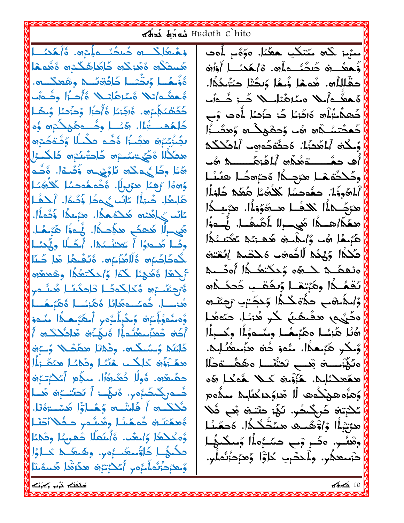France Hudoth c'hito وَهُبْعَلَالِكَ مِنْ شَيْئَتُ وَأُبْرَى ﴾ [هَدَيْنَ ا مِعَهُمْ ذَلِكَ مُتَنَكَّبٍ هَقَدًا. وَوَقَامِ لَمُوتَ فَعِيْدِ فَيَشْتَدِدُ وَالْجَيْسَالُ أَوْاُنَ كَسْتَكْنُ ةَمْزِيْكُمْ خَاجَاهُكُمْ مَعْدَهَا ةُؤُممُــا وُبِخْتِــا كَادُةِيَــى وِهْعِنْـــةِ. حقْللاً. هُدهَا ذُها وَيضًا حَتَّا حَتَّكُما. ةُ مِعْداتِكَ وَسَرِعَاتِكَ وَأَحِبًّا وضُوَّب هُ هِمَّدهُ مِلًا مِمَّاهُمْ اِسْلا کَے ذَٰے اُ حَجَّعْتُكُمْ وَمِنْ وَاجْزَعْلَ وَأَحْزَا وْحَزَحْنَا وُحِكَـا كَهِكُنُّكُمْ وَادَّنْكُمْ كُنْ حَزْحَنُا لِمُوت وْبِ كُلِّعُهِ \_ يُٰهُ السَّلَ وَهُـــوهُمِكْتُرُهِ وُهِ كَعثَتسُــدُاه هُــ وُحقَمِـكُــه وُهئَـــزُا ىجُىزُبِّيَرْهَ مِجْسَرًا ةُشُم مِكْساًا وَشَمَحْرَه وَمِكْمَ ٱلْمَحْبَلَ: هَجَنَّةَجُمِينَ ٱلْمَكْكُمُ معكَلًا ةَكَيْ:سَمْتِرْهِ حَاحَةٌ تَتْرَهِ دَلِكْسَرًا ۖ أُه حمُّــــةهُدْه ٱلمفَزِّمَــــــد هُ هَمْا وِجًا يُمكُم تَاوُجِيِ ۞ وَٰحُمْدًا. ةَحُد أوكَحْتَمْهَا مَرَجِــدًا هَجَههجًـا هِنَّىـًا وَّدهُا رَهِمُا هرَبِرلًا. ةُخُمْعُوصُا لَلاُهُـُـا |أَمْاهَوِفُمْ: حَمْدَسُل كَلاُّهُمْا هُعَكَ حَاوِمًا| هَامِعًا. حَيزَاً عَالَمَ يُحِجَا ذَقَبَ أَبْدَ الْمَحَامَ عَائِبٍ ﴾ اهْتِهِ هَكْمُهِمَّا. هِبْعِظُمْ أَوْثُمِلًا!. هِهَٰذَاهِــدًا هَٰىِــرِلا لِمُمَدُّــا. لُمَـدُّا مَّلِ أَلا مَعْمَدُ مِذْكِرًا. يُودُّا مَّرْهُا. هَّرُحُطْ هُبِ وُٱجِلْدِهَ هُدِيرَهُ عَقْبَيْهِ أَمَّ وصًا هَدَاوُا أَ مُحتنَسُكُمُّا. أَحَصُّلًا ويُحِسَّل ِ صَكْدًا ۖ وَٰٓ بُكُمْ لِّاحْدَوْمَ ۖ وَٰٓ حَكْسُمْ ۚ إِنَّهۡتَوۡ ۚ لْحُدَخَاجُمْ وَلَاهُزَعْ وِ. وَتَعْبَطُ قِدَا جَبَنَا ەتھكىك كىئەە ۇھكتۇگا أەئىمك تَرْكِعْدَ ةَمَكِيمًا كَدًا وَاحْكَتْعُدًا وِعْعِمْتِهِ تقمُـدًا وهَّتِمْـا وَبِقَقْبٍ خَجِدُـدَْ3 ةَ ْجِئْنَــْ ْ ْ ۚ مَكْلِكُوضًا تْلْحَكْسًا هُنْـُـوبِ وُٱلطَّنْصَ حَثَّةَكُلُّا وَجَجَّتٍ وَجِئْسُه هُزِيا. خُوصُوهُالُا وُهَزِيَا وُهُرَجُا ەكَنُىم، ھۇمۇمىنِّ كُم ھُزْسًا. حمَّەھُـا وُومِنُووُلُمَ; وَحَذَرُكُمُومِ أَيكُنِيهِمْ السُّنورُ أَحَرْهَ خَعْزُمِعْنُوءُ! ةَنَهُّ زَهَ هَاكُنْدُ وَلَ هُنُا هَٰنُــا مِمَّنِــهُــا وِمُـــوُلُما وِكَـــزِلُما دَٰائِكُمْ وُسِئِيكُ، وَشَمْلًا مِنْقَضَلًا وَجَهُ وَّىكُمْ هَبُنْغَدًا. مُنْدَوْ دُنْ هَزَّمْتَغُنُّابِيه. هِمْنْزَوْهِ كَالْحُبِ هَنَّا وَذَٰهَا هِنَهُ زِلْمَ ا أَمَنَّهُ ۖ فَ مَنْ الْمَنْ الْمَعْدَدَالِ الْمَعْدَدَالِ حَقَّىقُو. وَوَلَّا خُعَّىوَةُ!. مِنْهُمْ أَعْلَمْتَ إِنَّهُ هِمُعِيْدَاتِكَ. هُزُوْمِينَ كَبِيْلًا هُوَكُمَا بَنُوهِ كُــەرِكُـكُـرُەب. ةَىكُــز / تَحتَنــرُو قَــا وَهِ وَهِ وَهِ لَكُمْ هَا اللَّهُ وَجَدَا كُنُلُوا مَلَى اللَّهُ وَمِنْ وَجِمَعَ وَمِنْ اللَّهِ وَمِ طُكْم أَ فَاتْمُ وَهُــاوْا هُسْــوَٰنَا. كَـٰٓتِتَهَ ضَرِكُـٰضُو. نَهُ: حَتَـٰتَه بْحِي فُلا ةُهمَّتَـٰزَةَ شُمَمَّـٰـٰلِ وِهُنتُـٰمِ صَفَّلاً ٱتْسْلَ هرُبِّيدًا وَ}وّْهًـــهِ منتَخُكْدًا. هَحَمَّىنًا وُهِ حُكْمُا وَاعِعُدٍ. هُ أَعْمَا الْحَقِيمَا وَذَٰهَا وقْشُو. ەكْبَر ۋىي ھسَّبُّەلُّا وَمىگىھُل كَنْجُلّْ كَاوْْمْعَكْرُومْ. وْهُبْكُنْ كْبَاوُا حْزَىبِعِجْمِ. وِلْحَصْنِ ݣَاوْلْ وَمِرْحَزْتُهِمْ. وُعدَدُتُمَاءُورِ أَعْدَتِهِ مَدَشَا مَسَمَسَا سَلَفُتُهُ مَهُومٍ وَكَاوُنُكُمْ  $x + 10$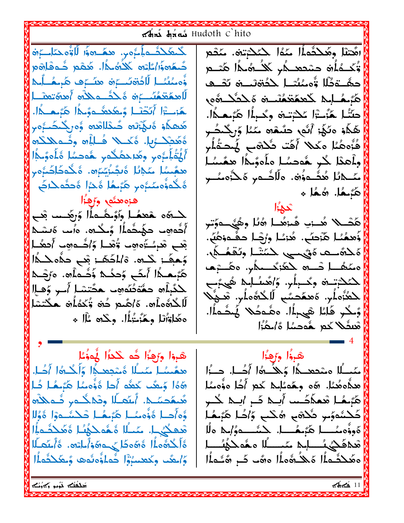Hudoth c'hito لْكَتْعَكِثُــْـة أُخُوم. هِمْــهُوْا لّْاقْوَمْمَاكِرْهَ اهَّتْنَا وهَكْدُه(أ مَدُا كَتَكْرَتْهِ. مَدْع كَتْمُووْا/ئاتو كَلَارُهُكُما. مُنْقُو كَتْمَوْارُوم وُّكْـــەُـلُّ ھىتىھىـــەُب كَلُّـــەُــدُّا ھَتـــع ذُهسُلُكُمْ لَلْأَدْقِنَكُمْ فَسَكِّفَ هَبِيغُكُمْهَا حڤَــةكْلَا وُّمىٰنُسْــلا كْدُقەتىــى نَحْــف لَّامِمَعَهُنَّكِ وَ وَكَشُمْلَاهِ أَمِيهَ تَعِيْسًا هُبُسُمابِهِ كَعفَقْتُمْتَسِينَ هَكْشُكْرُهِ هَٰٓ: أَرَّ أَنَّصْلَ وُحِكَحَفٌ وَمِدًٰا هَٰٓ: هُـٰهُ أَ حتَنُا هَنْتْزَا حَكَبْتُهُ وِكْبِلًا هَٰبُعِجًا. مُعطَرف وَيَهْرُبُو حُيْدَالْمُدُو وُورِيْكِيجُبُوبِ ِّهَكُوْ وَنَكُوْ أَنُّهِ حَنَّمُهُ مَثَارٌ وَرَجَّحَتُ ةَ هُدَيْكُمْ بِلْ. ةَ كَـــلا هُــايْلُه وشُــملانْدُه فُنُوهُمُا وكَلا أَفَت ثَلاهَبِ لَمُحتَّفُلُر وأهذا لكر حُوصمًا وأُووُلاًا همَسُاً. ھجُىسُا سَلاِئا ەُبِكُنُّ ئَيْ مَنْ مُلَاجَاجُمُو مَنْـــــامُلْ هُدُّــدُوُّة. ولَّاكْـــد وَ كَــُومُنْـــو ةَ كُدْوُهِ سَكْبُومٍ هَبُسُلْ قُحْرًا قُحْفُمْ حَاكُمْ <mark>،</mark> هَ هُما. هُ هُا \* فزه هثم ورُهُما تحلأا لِمِ وَهُمَا وَأَوْحَقُواْ وَرَضَعَهِ وَأَوْسَعَهِ مِنْ الْمَحْمَدِينَ مِنْ كَصْـــــلا هُـــزبِ هُــزهُــــل هُـُلل وهُيُّــــموَّتـر أَحْدِهِ حَكَمَدُا وُ كُلهِ. هِ مُ حَمْدَ وَُهِمُنَا هَٰٓزَحَبَ. هُٰٓزَسًا وِرُجَـا حَفَّـٰءوَهُٰٓبَ. بْعَبِ هُرِسُتُوهِ وَقُصْلَ وَٱصُّدْهِ ۖ ٱُحْمَدًا هُكْشُدُ مُؤْسِي كُنْتُمْ وِنُقْفُـكُمْ. وَمِفَۃٍ حَـْمٍ. 16کَمَّۃ ثَبِ حِدُّہ کَــدَّا ەمئىھا ئىسە ئىغزىسىمگى. ەھشىھ هَبُعِيدًا أَيضَ وَحِئْكُمْ فَشَمِلُوهِ. وَرَّضِكُمْ لِكَنْكَبْتِــةَ وِكَـــرِمُّرٍ. وَٱهْتَبَــالِيمَ هُيَـرَّب لْكَبِلُو حَقَّةَدُوُفَ حَدَّسْاً أُسِرٍ وَقِبْلِ ﻼﻣُّﻨُﻭﻟُﺮ. ﻩُﮬﻤَّﺤﺴُﺐ ﻟَّﺎﻛُﺮُﻭﻟُﺮ. ﺷﯘ لَّالحُدُّہ وَالْمَسْمِنِ وَاللَّهُ فَاللَّهُ مِكْتَسَلَّ وَّىكُر فَامًا شَيْءِاًا. ەھُـەدُىْ لَمُـشُـەلُّا. ٥هَٰدَاةِۥُڷٳ وهُنُنيُٰٳ!. وكُن ٵٛٳ ؞ أَ هَىثَـلا كَـم ۖ هُوجِبُنا وُاعْتُواْ ۖ هْبِوْا وِرُهِزًا هُم كَحْدًا هُوَوُّءًا هْبِوًّا وَرُهَّا مَّبِّلًا مِتْعَعِبْدًا وَجَنُّـِهَٰا أَضَّـا. حَــَٰٓا همَّسُلًّا مِّسْلًا ةَسْجِعِيجًا وَأَلْحُدَّةَ أَضًا. رَّهُ أَوْ عَقَد مُحَدَّد أَحَلَّ ذُوُّ مِنْكَلِّ صَّرْحَهُ لَّا حُلَّلَ هدَّەهُدًا. ۞ه وهَدابِك كَم أَجًا هؤُهدًا مُعمَّدسَك. أَعَمَطْ وثَمَكُم فُـمَلَاتِهِ کَبُمُا شَعَدِّکَــت اُنِــد کَــرِ ایــد کُــر وَّەأَصَا ةَوْمِئْكَ هَٰزُهُكَ كَكَنْتُمْوَا وَّوُلَّا كَحْشَوْبِ تَكْشَى شَكْبٍ وَٱكْلَ هَٰٓبُـمُـلَ هْڪِگِ!. مَعْىلًا هُهُمْحَهُنَا هُهُحَدُوهُ! دُوؤُه، أحدٌ اللَّهُ عَلَى اللَّهُ عَلَى اللَّهُ عَلَى اللَّهُ عَلَى اللَّهُ عَلَى اللَّهُ عَلَى الل دَّاْكُلُّەمَّا دَّەَەكَا كەھەرْ بَاشە. دَّاْسَكَنَّا هُدْهَكِيدُ الْمُسْلَّلَ مَعْمَدَهُنَّا وَاعِعًٰد وكعسرُوًّا خُملُؤُهنَّهِ وَعَكَلَهُماُ! وَهَٰكُنُّـهِ أَا وَكُلُّـهُو أَا وَهُـٰ ضَـٰ هُنُـهِ أَا كَلْفُلُكَ لَمُوْمٍ وَكَاوُنُكُمْ  $\frac{11}{2}$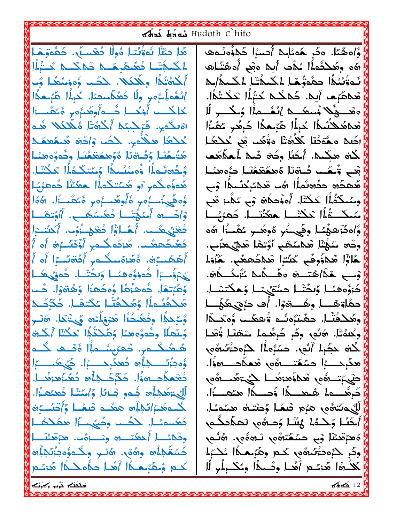| France Links                                                                             |                                                                 |
|------------------------------------------------------------------------------------------|-----------------------------------------------------------------|
| هَا مَثَّا نُوتُسًا وُولًا مُعْسَلُ. كَهُو <i>تِ</i> هَا <mark>لَ</mark>                 | وَّٰ)وَهُمَّا. وَكَرِّ هُوَبُلِّيْهِ أَصِيرًا كَيْوَوْوَيُوهَا  |
| لمكتفتا مُعَتَّبِهُ هُ هَدَدَ مُتَبَدًّا إِلَ                                            | هُه وِهُكِثْمَلًا عُمْدَ أَبِي هُمْ أُهِ مُتَّـاهِ              |
| أَكْدُنُكُمْ وِكُلّْكُلا . حَكّْب وُّدْمِنْعُمْا وُب                                     | ئەۋنىما حمۇقىا لمكىمتا لمكىمابى                                 |
| إِنْغُمْلِبُومِ وِلَا تُعَكِّمُعْمَلَا. كَبِلًا هَبُعْدًا                                | مْدْهَبْم أَبِدْ. كَدْخُدْ حُتّْبَلًا تَحْتُخُلُّا.             |
| كَالْكُــْبِ أُوْخُــَا شُــْهُ وَهُبْرُه بِ هُنَهُـــزا                                 | ەتھىكى ۋىيكىگە إنْگىماً ا وُيڭىسو ل                             |
| اةىگەپ. فَبْلِبَكِمْ أَىْلَاھُتْا ةَىلْلَكَلا شَم                                        | هَدَهَٰذَلاَنُدَهُ! كَبِلًا! هَبَّىهِ\$! كَبِهُو عَمَّدُا       |
| ىُمْلِّعُلُّا مَمْلَاَّمِينَ حَلْحُبَّ وَٱخْذَى مُحَمَّمَتِكُمْ                          | اضَلا معْقَضُلَا كَلاَهُتْا مَقُعَّبٍ يُحْلِّعُهِ ۖ             |
| هَتَنِعْقَا وَحُــٰةَقَا ةَوَهَـمُقَعَّقَا وَحُدَوُّدَهِـٰـَا                            | لَّدْهُ مِنْكِيكَ. أَيْضُلُّ وِجُبْهُ شَيكَ لَمْحَكِّفُهُمْ     |
| وًىدُەنَـْـماْا وْْمِنْىـُـماْا وَمِنْتكَــمْاْا تْكَــْـْـا.                            | بْْبِ وُّـمَّــٰ ضُـٰٓةَتَا هُمْمَّقْمُنْـا حَرْهِمْـَـا        |
| هُدَوُّهِ كُدَّرٍ ۚ رُو هُـُمُتَكَدِّلًا هُـهَمُّنَّا شُدْهَرُ ۖ إِ                      | هُدهكُه حدُهنُماْ! هُــ هُدْمُهِكُنُمْهَا وَبِ                  |
| وُوفَيْ َٰٓٓ وَوَ ۚ أُوقَٰٮِ ۖ وَوَ وَيُحَمَّــ ۚ إِلَّا ۚ وَ وَا                        | وسَّىكْتُٰهُاْ كَكْتَا. أَهْوَحكَاثَ وْبِ كَلَاءَ قْبِ          |
| وْاتْـــدە ٱَـنَكُنْـْــا تُحَنَّىنَىْكَـــى. ٱآوُتْتَـــا                               | سَكَـــتَٰهُلَا تَحكُنْـَـــا حِمَّتْنَـــا. كَعْزُـبَــا       |
| كَعْنَى هَـــــــ، أَـمَّــارْةُ   كُعْدَىـــرُوَّـــ، أَكْتُنَـــرَ ا                   | وؚ۫ٛٱ٥ڬٛٲۿۿۜٞۑؙٵۥۅڡٞۑڂؙڹ؋ۄۿٮڔۦؠٚڡٞٮٵٛٵۿ٥                        |
| كَعَمْكُمْعَمَّـــ، هُـْزَكُمْكْـــمِرٍ ٱزْوْتْشَــرَةَ ٱه ٱ                             | وِدْهِ سَكْتُلْ هُدْسَهْبِ أَوْتَـٰهَلْ هُدْبِي هِنَّبِ.        |
| اْھَھَــَـَ;ە. ەُھَٰۃەَــىــُـــەر اُھُۃىـَـــَــَ ْ اُ اُ                               | هَٰارَۛوْا هَدْؤُوفُ ۚ كَنُتِرا هُدْخُمِعُب. هَزُوْا            |
| حْجَوْسَعَ! حُموْوُهِ صَلَّى وَنَحْتَسَا. حُموْحِكَكَ                                    | وْ؎ ۿأا۞تـــــــــن هَ هُـــــــكَمــــكَ مُنْ هُــــكَ هُ      |
| وَهَبْتِمْا. خُوهِزُهَا وُوحُهِزًا وَهُوْوَا. حُب                                        | دَرْوُهِ صَلَّا وَبِحُتْمِ حِنْتَىٰ صَلَّا وَجِمَكْتَسْمِلَ.    |
| مَحْدَشُماًا وَمَحْدَثْنَا عَكْتَفْ!. كَتَرْكُـٰهَ                                       | حمَّاةِ هَــــــا وهُـــــةوْا. أُه حَزْمٌ بِمَكْهُــــا        |
| وًعَكِيَا وَحُعَّحُرًا مَْتَوَلَّدُه يَجْتَدَا. هَاتَــو                                 | وهَٰٓدِهَتَـا. حمَّنَهُونُـه وُهِهَــب وُهتحـدًا                |
| وً مَعاًا وحُووُوها وَهَكْتُمُ! تَكْتَا أَكْـ فَالَّهُ                                   | وِكْتُمَتْلُ هُنُّو وَكُرٍ كُرِهُـٰها مْتَعْفَـٰا وُّهْـا       |
| ھُىھُىگىم. دْھۇچشىملا ەْتْــ گــە                                                        | لَّكْتُهِ حَجِّظٍ أَلَّفٍ. حَنَّبُوطاً كَرُوحَتُّكُنُّوهِ       |
| وَّەدْتَــــــــڊلَمْ10 دُھجَرحــــــــرُا. دُکِيھَـــــــــــرَا                        | هذَرِ إِلا حَسَّمَتِ وَهُ مِنْ هُمَا حَدِيْوَا.                 |
| دُهْمِكُدِهِ وَا. كَذّْكُكُمْ أَهْ دُهُنَّوْدِهُمَا. إِ                                  | حەم تەترىك لىمەنگەن مەشىتېرىك                                   |
| لَّٰلٌ : هَٰذِاْ ه خُومٍ جَائِلٍ وَاسْتَلْ دُهِنَهِ ـٰزَا.                               | دُرِهُـــدا هُـمحـــدًا وَُحـــدًا محـُعــــزًا.                |
| لكَــمعَكّْمُ/كَجْلًاه هَعْــم قَ <b>نمُــا وَأَحْسَــرَه <mark>ا</mark></b>             | الْكَمْتَمَّةِ مَرْمِ تَعَمُّا وَحْتَـٰةِ هَنَّمَـٰا.           |
| دُهَسوسًا. لِكْسَبِ وِضُيُسَةُ! مِعَكِّهُمَا <mark>ا</mark>                              | أَمَثَنَا وَحَــدُا لِمَنَّـا وَحــوَّى تَعكُمَـحُــم           |
|                                                                                          | كَاهْتِقْتُنَا وْبِ حَسَّمْتْهُمْ لَـْ10\$، شَكَّمْ             |
| كَسَفَّطِلُوه وِهُٯْ. هَ َـُـُـو وَحُـُـووُودُكَظِلُوه ا                                 | وكَرِ كَرْهِتْتُمُوْهِ كَمِ وِهَبُعِجَا يُكْبَرُ                |
| كم وُحَدِّدها أما حذْها كَمَا هُنَا مُنْ                                                 | كْلُـدُهُ  هَٰٓنِيَـُـمِ ٱهۡـا وِتَــٰهُا وِيُكْــٰزِلَٰٓرِ لَا |
| $\pi$ ar $\leq$ 12<br><del>مَ</del> ـٰلاَفُتُـُہٖ دَّہُـٰبِ رَبِّہُنُـٰہٖ <mark>،</mark> |                                                                 |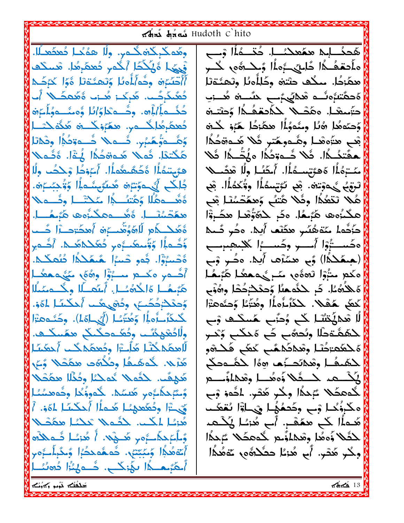France Hudoth c'hito وهَمكَبِكَةُ كُمْ، وَلَا هَمُكُمْ ضُعَصَلًا. هَجِدُ لِم مِعَمِّنَا. خُذْ هُلَا وَ ۖ فَيَهَا ةَيُكْكَلُ أَنْكُمْ دُهِمُ هُذًا. هَسْكُف ءِ أَحقڪُدًا حَاليَے وَاٰ وَحــدہُو، کُـــر أَأَتَّسَّرُه وَشَاَلْمَا وَلَعَنْتَهَا وَوَا كَرَضُهَا همَّزْدًا. مىڭھ حَتْنَة وِحَلِّأُونَا وِتَعِنْتَةِلَ تُعَكِّدُهَــ، هُرِكَــ: هُـــزت ةَهُعتَـــلاً أَب ەَحمَّتىرُەنْـــە ھَٰــابِّى ِّـــــى حسَّـــەن ھُــــزبِ كُنُداً إلىه. وكُدادَا بُلْ وُمِنْدوْاً بَرْه دَّمِيشا. وهُشْيِلًا حَذَامَعْهُ دَا وُحِتْنِيهِ وَحَدَهُمَا هُلًا وِمُدَوْلًا هِكَرْدًا هَرَّوْ لَكُـ هَ ئُعكَبِمُلِكُــوبِ. مِمَّزِنِكَــفِ مَكْنَكَــلِ وَهُـــوَوُهُبُرٍ. فُـــوىلا فُـــووَفُوْا وِفْلاتا. بْعِي هَنُوهْمَا وِهُـومِمَّتَرِ فَلا مَحْدَةِكُمَّا هَكْتِدْا. ثَمِيْ مُحَوَّدُهُ لَهُنَّةًا. ةَثَمِيْلا هفَتكُما. ثَلا خُـدوَدُهُ! ه إِضُـدُا ثَلا دَّمِيتِمْلُا ةَحَشَمْدُاْ. أَجَوْحُا وَحْحُب وِلُا مَّتِوْمُأَا هُٯجٌتِمْسُوُاًا. أَمكُنَّا وِلًا هُدَّمَــــلا لَرْقِيُ يُحوَّتْهَ. بْعِ نَيَّتِسْفُلًا وِتُكَفَّلًا. بْعِ جُلِكُمْ ﴾ وَتَرْهَ هُسَّرَسْمِهُ وَوَّٰٓجِيَّـرَةَ. ةُهْـــومُلْا وَمُتسُــدُا مَكْتْـــا وضُــوكا هُلا تَتَعُدُا وِثَلا هُتَبُ وَمَعَصَسُنَا بْعِي مدَّمَّتْسُلْسْ وَهُـــوهدَّوْهِ هَرَهْـــا. هَكُنُوهِ هَبُنُهَا. وَكَرِ كَوَّزُهْمَا هَكَرَةٌ! ةَهَكِكُم لَلْهَوُقَّكِمَ لَهُ مَحَّرَدَ أَلَّكَ الْمَحَد دَٰٓحُما مَّةَهُمُّسِ هَدَّتَ أَٰلِها. وَحُرِّ شَـٰها وَّضُم)ا وَوَّسطَتَوْمِر تُعَلَّلْهُمَا. أَضُمْر ەكسىتۇرا آسىر وكسىبۇا كلىھىرىس ةَصْبَرْوْا. فُو صْبَرَا هُـَمُكِمَا مُنْصَكِمَ. (هِيمُكِمُّا) وَبِ هِيَٰأَهَا أَبِكَ، هِضُو وَبِ أَحْسَمِ مَكْسِمٍ مِسْتَرْقًا وَهُمَّ، مَنْهُ مَعْشَا مَكَّم حَتَّرُوا تَعَدَّى مَدَّ يُدْهَدُ كَيْمَا مَرَّحَمًّا هَبْهُما هَاجُهْمُا. أَسَّصْلًا وِجُمْعَمُلا هَ لِلْأَهُمُا. كَرِ لِلنَّمِعْلُ وَحِنْكَ رَحُصًا وَهُؤَبِي وُحِنْدْرُحُحُسِّ، وِدُهْرِهْبِ أَحِكْسًا لِمَوْ. كَعَمٍ هَفْلًا. ۖ حَكَرُمْهُماْ! وِهُتَئِمْ! وَحَدُّوهَا!! لَكْنَكُرُ أُومُأَا وَهُتَئِبًا (أَيُّهَاوَٰ). وكُسُوعَتْهِ ا لًا مْدْيَّتْسَا كُل وُدَّب هُسكْتْ وْب ولْائْعْدِيْنُب وِئْعَدْدِكْيْكُمْ مْغَسْكْتُفْ. لْكَمُتَوَطَّا وِنُصَمَّى كَي مَكْلُبٍ وَكُسْرِ لَامحِكَكْسَا هَلَتْزَا وحُمحِكُمِكْتِ أَحْمَدَتَا هَ لهَ اللَّهُ عَنْهُمْ وَهُدَا اللَّهُ مَعْ اللَّهُ عَلَيْهِ وَاللَّهُ وَالَّذِيهِ وَاللَّهُ عَلَيْ هَٰلَا. گُدهَدُا وِصُلُوَٰت مِعَضَلا وَّسَ لحَمْدَهُ الْمِحْمَدْ وَهُمْ الْمَسْتَحْمَدِ مَّدِهَّبٍ. حَدَّمَ لا يُمكِّل وِدُمَّا مِعَصَلا لَكْـــعـد ـكـــفُلا فَومُكـــا وِمْحَافُنــــم كُدهكَلا مُبْدَدًا وكُلّ هُثَرٍ. اخُذو وْب وًىتَرْحَكُثُومِ هُنسَكَ. حُدُووُكُمْ وَشُعْطِسُنْا يَّ أو وحُكَمِهِمْا مَدهاُ أَحكمَا لِمَوْ. أَ مكْبِؤُكْمَا وْبِ وِحُصْهُمْ فِي آَوَّا نُقْعَمَ مُزْسًا الْحَمْدِ. حَدَّمَهُ تَحَسَّلُ مَعَصَّلًا |هُـهلًا كُـح ههُـڤـرٍ. أَب هُزئـا يُكْـهـ وَبِأَعْدِدَ دَوِي مَحْدِيْهِ. أَرْ هُزْسًا شَـمِيْلَةِهِ لحَفَلا وَمعُل ومُحمَلَوُهم لَكُمحكَلا عَہْدَاً! أَعْوَهُمْ الْمُجَبَّبُ. شُمِعُوحِظُرًا وُحَذِّراً مِنْ اللَّهُ |وكُـرِ مَّحْرٍ. أَبِ هُـزْءُ حثَكْثُوبِ عُفْطُاً| أَحَدٌ مِـدًا لِّهَنكَــ فُـدِّهْمَا ذُهنُنَا حَدُوْمَ بِهِمْ مَتَوَامِعَ  $\mathbf{K}$ di $\mathbf{K}$ 4 13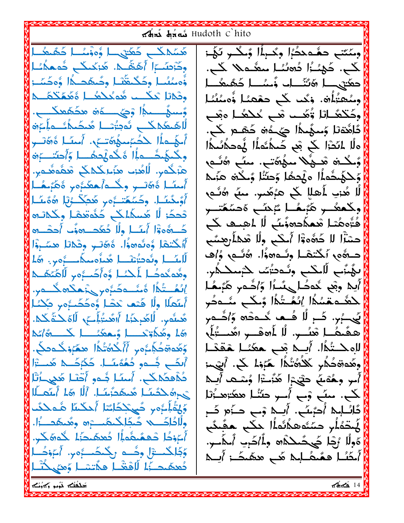Francis Hudoth c'hito مُسَمِكَ حَمَيْهِ أَوْوُسُهَا خُصُمًا ومَمَّنب حصَّححَجُ! وكَبِلًا وُحكَـبٍ تَهَٰـ: وكَرْصُمُ} أَهُتَمُــه. هُزِكَيكَــ خُمهدُّــا كُب، كَهْنُأَ دُهِنُنَا مِعْـُمِلًا كُب. ؤْمِسُلًا وكَكَنْتَكَلّْ وِكُنْفُصَلَّا وُمَكّْسَرْ حعَتِي الصَّلَابُ فَسُنَا خَصَّعُا وثلاثا تكب فمنحط أؤمختمك ومُعَتُّلُهَ. وَكَب كُلِّ حَقْعَتُا وُّومُنُتُا وَسِنَ مِمَ وَيَ مَن مَخْمُعِكَ. وكُكْمُّالْا وُمُّــ مْدِ مُكْمُّـا وَمْــ لْلصَّمَكَكَنْ فَجِزَتْكَ مُحَكِّدُ وَأَنْهُمْ دَٰاهٗتەتا وۡسمُسمٗا ۞ هُوَ صَفْـــم كَـــم. أَجَى والْمَسْتَوْمَنْ مِنْ الْمِنَاءُ وَوَاسْرِ هِ الْمَنْزَا لَكَ بْهِ حَمْدُهُمْ الْمُحَمَّلُ الْمَحَاسُدَا وكَيْهُدُّدُا وُكُولُدِهُكُ أَصْلَا وَأَحِنَّتُ وَهُ ۇڭ ئەڭلا مۇھتى. مىگ ھۇئ ھُئِگُمن. لُّاهُنِت مِنْتِظِکُلاگ مُعَمُّمَهُنِّمِنِ. وَحْكَمِحُماْ! هِ هُحْمَا وَحِتَنَا وُحَكْثَه هَزَىكَ أملًا ةَهَلَبٍ وِكُمُ الْمَعْدُومِ قَصَّرُهُمْ ا لًا هُنِي أَهلاً كُمْ هُزْهُبٍ. مِنْ هُنُمٍ أَوُحْمَنَـا. وكَسَّعْتـرُه و هُدَكْــرُبْل هُهُمَـّـا وكْعفُــرِ هُزُـمُــا تُبْدَلُــ هُحِنّمُتــر تَحدَّ; لَا مَسَمًا كَبِ كَثَمَتَهَا وَكَلَاتُه فُتُوهُمَا هُمْهُدُونَنَّى لَا اهتف كَي كُدِوُّوةُ أَمْسًا وِلًا تُعَجَدُونَ أَحْقَدُو حِيْنًا لا حَوُّوةًا أَحْكَى وِلًا مَحْلًا رِهِسَّى ٱٱلۡكُنفَا وُونُووووُۚا. ۉَوَّكَسِ وِثْلَاثَا مِنۡسَـٰٓرِوَۚا حـرةُٯ ٱلكُتفَـا وِنُـوهووا. هُنُـڡ وُاڡ لَّامَنَّــا وِنُودَٰ:تِنَــا هُدأومىكُنـــرُوبِ. هَا ىئْمَنَى لَّامْكَى وِئَـەدْتُمَّە لاَيْمَىلالْمُلْهِ. وهُدنُدكُما لَمَحْسًا وُه∫ُكُسرُّەر لَلْكَنَفَــدَ أَيْمَ وَبْعِ خُدْمًا وَالْمَعْلَمِينَ الْمَعَامِنَ مِنَ الْمِنَامِينَ إِنْمُــتُمُّا ةَمِنْــەضُبُوم ِنْ مِكْلِمَا الْمُتَــمْنِ. َلْمُفْتَمَمُّلُمُّا إِنْغُـتُكُم<sup>ْ</sup>ا وُلِكُـبِ مُنْتَدَخُرِ أَسَّمَلَا وِلًا هَتِمَ تَدْحَلَ وُوَجِّحَتَوْوِ وَجَمْعًا يُحِبُر. ثَــرِ لَٰا هُــع گـــه⊂ُده وَ∕اَهُــهر هُبِشَى. لُلهُدِجَةَ أَنهُجَةً بِّبِ لَلْهَ جَدَّجَكُمْ. هَقَىعُا مْنُــب. لَا أَهڤــبِ امُّنـــتُٰلُ هَا وَهَٰكَاةِ يَــا وُجِعِظَتُ لَمْ كَــوْهَائِكَمْ للمحل المُنهُما. أيــــم بمَع هـــــم محمّد الله عليه الله عليه الله عليه الله عليه الله عليه الله عليه وَهُدةفَكِمْبُومِ ٱلۡكُلُّةُ ۖ اللَّهُ مَعْبُوَكُدِهِكِ ۖ . أَلَفَ فُسُمْ دُهُمُسًا. كَذَكَرَكُمْ هَلَسْتَرَا وهَدةفكُم لَلاَهُتُكُمَّا هُزَوْءُ كَلِ. أَيْنَ مَ دُمْعِدًا كَبِ. أَسنًا فُءِ أَحْسًا هَٰلِي أَتْلَ أُمرٍ وهُدْمٌ حَتَّىٰٓمُ! هُنَّتْۥٓ! وُسْـد أَبِــد يْ هُكْشُلْ هُبْهُدْنُنْيَا. أَلَّا هَا أَيْتَصَلَّا لَّكَى. مِنَّى وَبِي أُسِرِ حَتَّنًا مِمْتَوَهِـزُنَا وَيْقُلُّبُومِ ضَيْخِظَّتْنَا أَحكْمَا هُـمَـحْمَّد كَانُـالِـــا أُحَبِّـنَّــى. أَلِـــــا وْـــى حـــزَم كَـــر لَمْتَمُلُر حمَّتُهِ هِدُّتُماً الْحَكْبِ حَقِّبَتُبِ أَعْوَدُا دْهِمُّهُمْأَا دُهِهُدَٰىٰا گُوهَكُر. أَهُولًا رُجْلٌ كَيْحُمْلُدُوهِ ۖ وِلَمُأْكَرِبِ أَسْلَمِسِ. وَجَالِكُمْ وْلِي وَشُمْهِ رَبِّكُمْ يَوْمِنِ أَيَّرْوَكُمْ أَ أَمكَنا فَهُمَالِكَ هُبَ مَحَمَّكَ: أَنِّكَ دُههُدِيَّةُ لَلْفَعْدَ فَاتَسْطِ وَمَيْكُنَّا سَلَقْتُکَ ذَہُم رَکورُنُگَمَ  $\mathbf{K}$ dir $\mathbf{A}$  14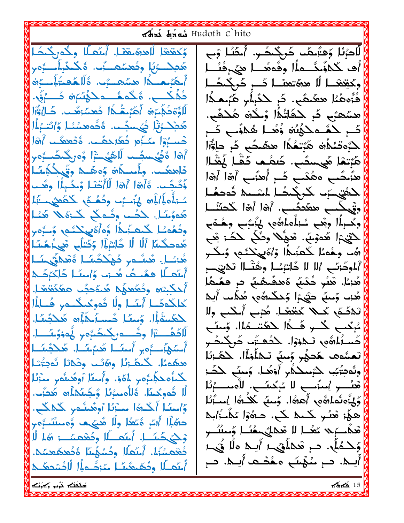Hudoth c'hito وَكَعْتَمْا لْامْدَةَ عَثْدًا. أَعْكَلًا وِكُورِ كَحَدْ اَلْحَرْنَا وَعَتَّمِكَ حَرِيكُنَّدِ. أَيْثَنُا وَبِ هُدِكْرُبُلْ وِدُهْسُكَـــزُمْ. ةَلْكُنذُرِلَمْــــرُهَ أُف لَكُمْفُحْسَماً! وفُمعُنَا مَيْ فُنُا. أَحَدَّ هِــدًا مِسْمِــرَ -. ةَلَّاهُمْمِتُولُ ـــرَهَ وكقِعْصًا لَا محمَّتهْسًا ضَـرٍ ضَرِكْتُصًـا ئُمُكَبِ. ةَكُمغُـــمكهُنَّةِ دُـــَّزَقَ. فُتُوهُمُا مِعَمِّمَى. ثَمِ حَثَيْلُهِ هَبُعِــهُا لَلَوْقَاهُكُمْ مَنْ أَهْبُسْكُمْ الْمُعْمَّرْهُمْ.. هَـٰالْأَوْٱلْ هسَّعَبُ مَ كَفَاتُمُّا وُكْنُهُ هُكْفَبٍ. هُج<sup>ْ</sup>لــرُنَّا كُهْسجَّــد. ةُخُـومسُنُــا وَاتَــْ إِلَٰا <mark>ا</mark> كَبِ لِلصَّـٰهِ لِكُهُلُهُ ۖ وَٰهُـٰـا هُلاَؤُـبِ كَــر تَسْبُوْا سُنُو فُعَلِيقَتٍ. ةَتَعْعَبُ أَهْلَ ِ الْجُوْدَعُدُونَ هَيِّتَ**هُ**دُا مِنصَّحَى مَ حِلِّةُا أَهْلَ ةَجُهْسِبُسَبِ لَلْكَهُنْ ۖ وَالْمَرْجُمْحُسِبُومِ هَبِّتْهَا هَٰيستُب، حَنفُتْ فَقْتَ لَهُتَهُمْ الْمُتَبَدَّ تْلْعِعْبْ. وِلْمِيكُفْ وُهِ هُمْ وَقَيْلُكُمْنَا هَّنَـصَّــ ءهُكَـــ صَّــ أُهْنَـــ أَهْلَ أَهَل ذَكَبَـْــ. \$/۞ أَ۞ا لَٰالۡأَحْسَا وُحَكَّـٰٰٓاً وقُـــا لحفتيء كرجحفا لمتسم فوصها سُنِهُ أَمَلُهُ مِنْ الْمُسْتَوْبِ وَهُمْكُمْ لَلْكَمَعْيَنِ سَنَزَا وَقَبِيَكَبِ مَعْقَصِّبِ. أَهْلَ أَهْلَ كَحَتَنُا هُدَوۡمَـُا بِ لِاحُـب وِضُـمكَى لَحُـزَهَىٰ اللَّهُـلِيَّا وَمُـُـا وِكْبِلًا وِبْعِي سُنْلُومُلْشُومِ لِيُبْبِ وِهُـتَابِ وِكْعُدْمَا لِمُتَدَيْدًا وَّهْأَهَا لِكَنْتَمَ وَّتَزَهْرِ لْتَيْمَ اهُدَوْسًى. مْدْهُلا وثُلِّي لِكْسَا مْعِي هَٰدِهِـكُمَا ٱلْا دُّاتَبُهْا وَكِتابٌ هَيْ هُمَّنَـا هُ وهُمُمُ لَكُمُ هُمْ أَوْاهَ إِكْسَامِهِ وَمُكْسَرِ هُزئال. هُنشُمر دُهْلاَهُمَا هُهْلاَقِيمَا |أَمْلُوحُنِّبُ }الله الْمَتْبَسُّلْ وهُنْسَالِ نَحْتِيْبِ أتتملل فشتث هبن واستل كالحركية هُٰزِيًا. هَبُر حُكْبٌ هَهَهُمَّيٌ مِ فَهُهَا أَحكَنتَه وتُعَظِّهُمْ شَمَّحَتِّب عَظَّفَقَطَ. هُٰزَٮ وَۡسَلَمَ حَتَّىٰٓءَۭۤا وَحِكْمَةُورٍ هُٰـٰهُمب أَيْـِهِ كَلِكُوكُمْ أَمِنُمْ وَلًا ثُووِكُمِكْسُوبِ فُسْلِدًا | تَمْضَىٰ كَنْكُلّْ كَقَفْتُ هُمْ أَسْكُنْ وَلَا ِيْكُمْتُمْ}ًا. وُمِثَيَّا شُسِيَرْجُلُوهِ هَكَيْشَا. مُرِكَىبِ كُبِ هَـٰدًا لِكَفَتَنِـٰهُ!!. وَمِنَبِ لَادَٰهُـــــٰٓ؞ٓا وخُــــــــەرِكُــمَـٰٓءُوم ۖ فُءدَوَّــَــَــا. كَسألمُهُم، تَـدْوَوْا. لِكُـفتَنُ كَوجُـْحُـب أَسْتَجْزَفَ أَسَبَ الْمَدَّبِثَ). مَكْمَنَاتِ لْعَشُوها هُجوُبٍ وَمِيَّ لَـٰهَأُوْءُاً. يَحْكُرُوْا لَـٰهَـٰٓرُنَا محكممُا. لَكَنْتُ رَبِّي اللَّهُ وَشَاتَا تُودِّرُتْنَا وِنُودِّتُہَا ۖ كَيْسَكَّكُمْ ۖ أُوْهُـاً. وَسَبِّ ۚ كَكَـٰٓ: لْكُبُرُهِ حَكِّمَرُومٍ ۖ لَوَٰذٍ ۚ وَأَسْلَأَ ٱوِهُنشُورٍ ۚ مِنْزَلًا ۖ هْنُـــوِ إِمدَّىـــعِ لَا مُرِكَعتَــعِ. لِلْمَعــــرُّنُلُّـــوُنُلُّـــوَنُـلُّـــوَنُـلُّـــوَنُ لًا ثَدوِكْتِمًا. ةَالْمَسْرُبُا وُجِّيتُكُلُّاه هَٰدَنَتْ. وَّلِمُوْهَاهُومِ أَهْدَٰا. وَسْلَعِ كَلَادُهُ إِسْتُرْنَا وَٱسْلَا ٱلْحُدْهَا سَنْزَنَا ٱوهُشُمْرِ خَلَقَكَمْ. | هِجُ: مْسُرِ كَــد كَـــ حــهُوْا مُدَّــُّ ابْد دەَبْاً أَبَّ دَّىْمَا وِلَّا هُيَى وَّەسْلَىْدُوم أَهْدًاكِما حَمَدًا لَا شَدْمَكَ مِمْنُدًا وَمِعْنُصِ وْكِيكْسًا. أَسَّكْ الْوَحْقَقْتَ: 16 لَا أَوَحْدُمَلًا. حبر شَهْلُوْيَ لَا يَكُلُّ فَيْ ا دُهْعِسْنُهُا. أَينَعِلًا وَدُسُمُبِيًّا ةَدُهِهُعِينَهِ. لاَ أَبِــِـمْ. دَــزِ مُنْهَمَتِ مَـهُدْـَدَ أَبِــِمْ. دَــزِ أَمنَه ألم ودُهُمعُمًا مَنْ دَهُما الْمُسْحِمَدِ كَنْكُمْ دُوْمٍ وَكَاوُنُكُمْ  $\pi$ dir $\leq$  15